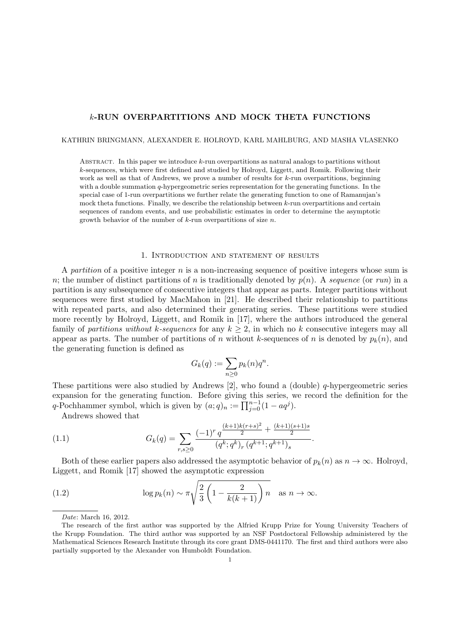# *k***-RUN OVERPARTITIONS AND MOCK THETA FUNCTIONS**

KATHRIN BRINGMANN, ALEXANDER E. HOLROYD, KARL MAHLBURG, AND MASHA VLASENKO

Abstract. In this paper we introduce *k*-run overpartitions as natural analogs to partitions without *k*-sequences, which were first defined and studied by Holroyd, Liggett, and Romik. Following their work as well as that of Andrews, we prove a number of results for *k*-run overpartitions, beginning with a double summation *q*-hypergeometric series representation for the generating functions. In the special case of 1-run overpartitions we further relate the generating function to one of Ramanujan's mock theta functions. Finally, we describe the relationship between *k*-run overpartitions and certain sequences of random events, and use probabilistic estimates in order to determine the asymptotic growth behavior of the number of *k*-run overpartitions of size *n*.

#### 1. Introduction and statement of results

A *partition* of a positive integer *n* is a non-increasing sequence of positive integers whose sum is *n*; the number of distinct partitions of *n* is traditionally denoted by  $p(n)$ . A *sequence* (or *run*) in a partition is any subsequence of consecutive integers that appear as parts. Integer partitions without sequences were first studied by MacMahon in [21]. He described their relationship to partitions with repeated parts, and also determined their generating series. These partitions were studied more recently by Holroyd, Liggett, and Romik in [17], where the authors introduced the general family of *partitions without*  $k$ *-sequences* for any  $k \geq 2$ , in which no  $k$  consecutive integers may all appear as parts. The number of partitions of *n* without *k*-sequences of *n* is denoted by  $p_k(n)$ , and the generating function is defined as

$$
G_k(q) := \sum_{n \ge 0} p_k(n) q^n.
$$

These partitions were also studied by Andrews [2], who found a (double) *q*-hypergeometric series expansion for the generating function. Before giving this series, we record the definition for the *q*-Pochhammer symbol, which is given by  $(a;q)_n := \prod_{j=0}^{n-1} (1 - aq^j)$ .

Andrews showed that

(1.1) 
$$
G_k(q) = \sum_{r,s\geq 0} \frac{(-1)^r q^{\frac{(k+1)k(r+s)^2}{2} + \frac{(k+1)(s+1)s}{2}}}{(q^k;q^k)_r (q^{k+1};q^{k+1})_s}.
$$

Both of these earlier papers also addressed the asymptotic behavior of  $p_k(n)$  as  $n \to \infty$ . Holroyd, Liggett, and Romik [17] showed the asymptotic expression

(1.2) 
$$
\log p_k(n) \sim \pi \sqrt{\frac{2}{3} \left( 1 - \frac{2}{k(k+1)} \right) n} \quad \text{as } n \to \infty.
$$

*Date*: March 16, 2012.

The research of the first author was supported by the Alfried Krupp Prize for Young University Teachers of the Krupp Foundation. The third author was supported by an NSF Postdoctoral Fellowship administered by the Mathematical Sciences Research Institute through its core grant DMS-0441170. The first and third authors were also partially supported by the Alexander von Humboldt Foundation.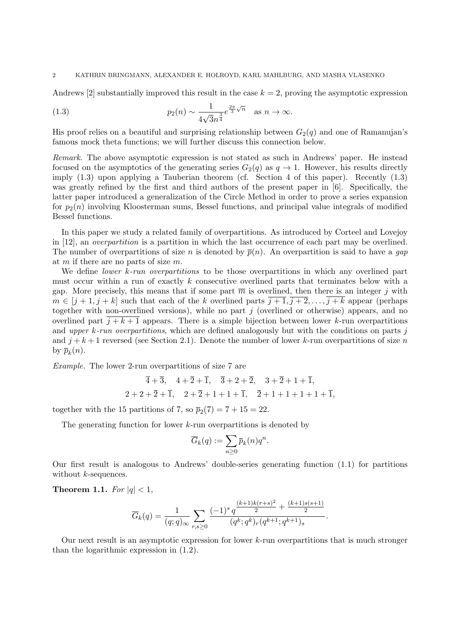Andrews  $[2]$  substantially improved this result in the case  $k = 2$ , proving the asymptotic expression

(1.3) 
$$
p_2(n) \sim \frac{1}{4\sqrt{3}n^{\frac{3}{4}}}e^{\frac{2\pi}{3}\sqrt{n}} \text{ as } n \to \infty.
$$

His proof relies on a beautiful and surprising relationship between  $G_2(q)$  and one of Ramanujan's famous mock theta functions; we will further discuss this connection below.

*Remark.* The above asymptotic expression is not stated as such in Andrews' paper. He instead focused on the asymptotics of the generating series  $G_2(q)$  as  $q \to 1$ . However, his results directly imply (1.3) upon applying a Tauberian theorem (cf. Section 4 of this paper). Recently (1.3) was greatly refined by the first and third authors of the present paper in [6]. Specifically, the latter paper introduced a generalization of the Circle Method in order to prove a series expansion for  $p_2(n)$  involving Kloosterman sums, Bessel functions, and principal value integrals of modified Bessel functions.

In this paper we study a related family of overpartitions. As introduced by Corteel and Lovejoy in [12], an *overpartition* is a partition in which the last occurrence of each part may be overlined. The number of overpartitions of size *n* is denoted by  $\bar{p}(n)$ . An overpartition is said to have a *gap* at *m* if there are no parts of size *m*.

We define *lower k-run overpartitions* to be those overpartitions in which any overlined part must occur within a run of exactly *k* consecutive overlined parts that terminates below with a gap. More precisely, this means that if some part  $\overline{m}$  is overlined, then there is an integer *j* with  $m \in [j + 1, j + k]$  such that each of the *k* overlined parts  $\overline{j + 1}, \overline{j + 2}, \ldots, j + k$  appear (perhaps together with non-overlined versions), while no part *j* (overlined or otherwise) appears, and no overlined part  $\overline{j+k+1}$  appears. There is a simple bijection between lower *k*-run overpartitions and *upper k-run overpartitions*, which are defined analogously but with the conditions on parts *j* and  $j + k + 1$  reversed (see Section 2.1). Denote the number of lower  $k$ -run overpartitions of size  $n$ by  $\bar{p}_k(n)$ .

*Example.* The lower 2-run overpartitions of size 7 are

$$
\overline{4} + \overline{3}
$$
,  $4 + \overline{2} + \overline{1}$ ,  $\overline{3} + 2 + \overline{2}$ ,  $3 + \overline{2} + 1 + \overline{1}$ ,  
 $2 + 2 + \overline{2} + \overline{1}$ ,  $2 + \overline{2} + 1 + 1 + \overline{1}$ ,  $\overline{2} + 1 + 1 + 1 + 1 + \overline{1}$ ,

together with the 15 partitions of 7, so  $\bar{p}_2(7) = 7 + 15 = 22$ .

The generating function for lower *k*-run overpartitions is denoted by

$$
\overline{G}_k(q) := \sum_{n \geq 0} \overline{p}_k(n) q^n.
$$

Our first result is analogous to Andrews' double-series generating function (1.1) for partitions without *k*-sequences.

**Theorem 1.1.** *For*  $|q| < 1$ *,* 

$$
\overline{G}_k(q) = \frac{1}{(q;q)_{\infty}} \sum_{r,s \ge 0} \frac{(-1)^s q^{\frac{(k+1)k(r+s)^2}{2} + \frac{(k+1)s(s+1)}{2}}}{(q^k;q^k)_r (q^{k+1};q^{k+1})_s}.
$$

Our next result is an asymptotic expression for lower *k*-run overpartitions that is much stronger than the logarithmic expression in (1.2).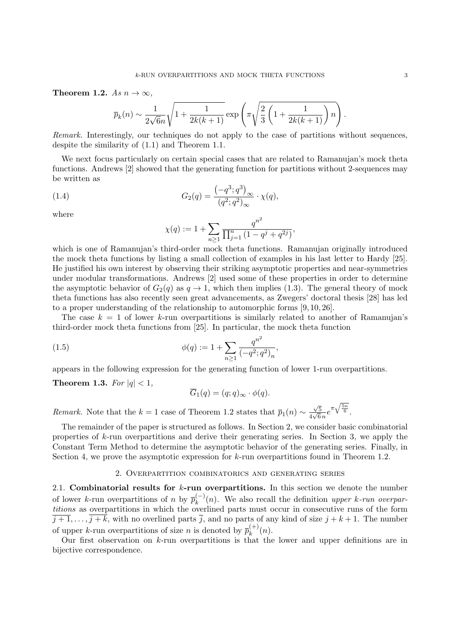#### **Theorem 1.2.**  $As n \to \infty$ ,

$$
\overline{p}_k(n) \sim \frac{1}{2\sqrt{6n}}\sqrt{1+\frac{1}{2k(k+1)}}\exp\left(\pi\sqrt{\frac{2}{3}\left(1+\frac{1}{2k(k+1)}\right)n}\right).
$$

*Remark.* Interestingly, our techniques do not apply to the case of partitions without sequences, despite the similarity of (1.1) and Theorem 1.1.

We next focus particularly on certain special cases that are related to Ramanujan's mock theta functions. Andrews [2] showed that the generating function for partitions without 2-sequences may be written as

(1.4) 
$$
G_2(q) = \frac{(-q^3; q^3)_{\infty}}{(q^2; q^2)_{\infty}} \cdot \chi(q),
$$

where

$$
\chi(q) := 1 + \sum_{n \ge 1} \frac{q^{n^2}}{\prod_{j=1}^n (1 - q^j + q^{2j})},
$$

which is one of Ramanujan's third-order mock theta functions. Ramanujan originally introduced the mock theta functions by listing a small collection of examples in his last letter to Hardy [25]. He justified his own interest by observing their striking asymptotic properties and near-symmetries under modular transformations. Andrews [2] used some of these properties in order to determine the asymptotic behavior of  $G_2(q)$  as  $q \to 1$ , which then implies (1.3). The general theory of mock theta functions has also recently seen great advancements, as Zwegers' doctoral thesis [28] has led to a proper understanding of the relationship to automorphic forms [9, 10, 26].

The case  $k = 1$  of lower *k*-run overpartitions is similarly related to another of Ramanujan's third-order mock theta functions from [25]. In particular, the mock theta function

(1.5) 
$$
\phi(q) := 1 + \sum_{n \ge 1} \frac{q^{n^2}}{(-q^2; q^2)_n},
$$

appears in the following expression for the generating function of lower 1-run overpartitions.

**Theorem 1.3.** *For*  $|q| < 1$ *,* 

$$
\overline{G}_1(q) = (q;q)_{\infty} \cdot \phi(q).
$$

*Remark.* Note that the *k* = 1 case of Theorem 1.2 states that  $\bar{p}_1(n) \sim \frac{\sqrt{5}}{4\sqrt{6}}$  $\frac{\sqrt{5}}{4\sqrt{6}n}e^{\pi\sqrt{\frac{5n}{6}}}$ .

The remainder of the paper is structured as follows. In Section 2, we consider basic combinatorial properties of *k*-run overpartitions and derive their generating series. In Section 3, we apply the Constant Term Method to determine the asymptotic behavior of the generating series. Finally, in Section 4, we prove the asymptotic expression for *k*-run overpartitions found in Theorem 1.2.

### 2. Overpartition combinatorics and generating series

2.1. **Combinatorial results for** *k***-run overpartitions.** In this section we denote the number of lower *k*-run overpartitions of *n* by  $\overline{p}_k^{(-)}(n)$ . We also recall the definition *upper k*-run overpar*titions* as overpartitions in which the overlined parts must occur in consecutive runs of the form  $\overline{j+1}, \ldots, \overline{j+k}$ , with no overlined parts  $\overline{j}$ , and no parts of any kind of size  $j+k+1$ . The number of upper *k*-run overpartitions of size *n* is denoted by  $\overline{p}_k^{(+)}$  $k^{(+)}(n)$ .

Our first observation on *k*-run overpartitions is that the lower and upper definitions are in bijective correspondence.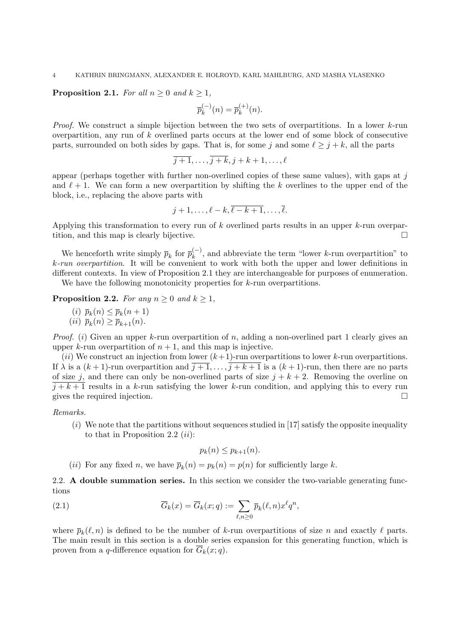#### 4 KATHRIN BRINGMANN, ALEXANDER E. HOLROYD, KARL MAHLBURG, AND MASHA VLASENKO

## **Proposition 2.1.** *For all*  $n \geq 0$  *and*  $k \geq 1$ *,*

$$
\overline{p}_k^{(-)}(n) = \overline{p}_k^{(+)}(n).
$$

*Proof.* We construct a simple bijection between the two sets of overpartitions. In a lower *k*-run overpartition, any run of *k* overlined parts occurs at the lower end of some block of consecutive parts, surrounded on both sides by gaps. That is, for some *j* and some  $\ell \geq j + k$ , all the parts

$$
\overline{j+1}, \ldots, \overline{j+k}, j+k+1, \ldots, \ell
$$

appear (perhaps together with further non-overlined copies of these same values), with gaps at *j* and  $\ell + 1$ . We can form a new overpartition by shifting the k overlines to the upper end of the block, i.e., replacing the above parts with

$$
j+1,\ldots,\ell-k,\overline{\ell-k+1},\ldots,\overline{\ell}.
$$

Applying this transformation to every run of *k* overlined parts results in an upper *k*-run overpartition, and this map is clearly bijective.

We henceforth write simply  $\bar{p}_k$  for  $\bar{p}_k^{(-)}$ , and abbreviate the term "lower *k*-run overpartition" to *k-run overpartition*. It will be convenient to work with both the upper and lower definitions in different contexts. In view of Proposition 2.1 they are interchangeable for purposes of enumeration. We have the following monotonicity properties for *k*-run overpartitions.

**Proposition 2.2.** *For any*  $n \geq 0$  *and*  $k \geq 1$ *,* 

 $\overline{p}_k(n) \leq \overline{p}_k(n+1)$  $(iii) \ \bar{p}_k(n) \geq \bar{p}_{k+1}(n).$ 

*Proof.* (*i*) Given an upper *k*-run overpartition of *n*, adding a non-overlined part 1 clearly gives an upper *k*-run overpartition of  $n + 1$ , and this map is injective.

(*ii*) We construct an injection from lower (*k*+1)-run overpartitions to lower *k*-run overpartitions. If  $\lambda$  is a  $(k+1)$ -run overpartition and  $\overline{j+1}, \ldots, \overline{j+k+1}$  is a  $(k+1)$ -run, then there are no parts of size *j*, and there can only be non-overlined parts of size  $j + k + 2$ . Removing the overline on  $j + k + 1$  results in a *k*-run satisfying the lower *k*-run condition, and applying this to every run gives the required injection.

## *Remarks.*

(*i*) We note that the partitions without sequences studied in [17] satisfy the opposite inequality to that in Proposition 2.2 (*ii*):

$$
p_k(n) \leq p_{k+1}(n).
$$

(*ii*) For any fixed *n*, we have  $\bar{p}_k(n) = p_k(n) = p(n)$  for sufficiently large *k*.

2.2. **A double summation series.** In this section we consider the two-variable generating functions

(2.1) 
$$
\overline{G}_k(x) = \overline{G}_k(x;q) := \sum_{\ell,n \geq 0} \overline{p}_k(\ell,n) x^{\ell} q^n,
$$

where  $\bar{p}_k(\ell,n)$  is defined to be the number of *k*-run overpartitions of size *n* and exactly  $\ell$  parts. The main result in this section is a double series expansion for this generating function, which is proven from a *q*-difference equation for  $G_k(x; q)$ .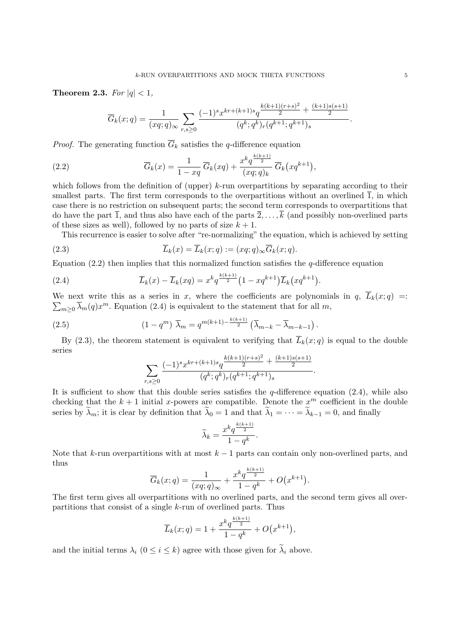**Theorem 2.3.** *For*  $|q| < 1$ *,* 

$$
\overline{G}_k(x;q) = \frac{1}{(xq;q)_{\infty}} \sum_{r,s \ge 0} \frac{(-1)^s x^{kr + (k+1)s} q^{\frac{k(k+1)(r+s)^2}{2} + \frac{(k+1)s(s+1)}{2}}}{(q^k;q^k)_r (q^{k+1};q^{k+1})_s}.
$$

*Proof.* The generating function  $\overline{G}_k$  satisfies the *q*-difference equation

(2.2) 
$$
\overline{G}_k(x) = \frac{1}{1-xq} \overline{G}_k(xq) + \frac{x^k q^{\frac{k(k+1)}{2}}}{(xq;q)_k} \overline{G}_k(xq^{k+1}),
$$

which follows from the definition of (upper) *k*-run overpartitions by separating according to their smallest parts. The first term corresponds to the overpartitions without an overlined  $\overline{1}$ , in which case there is no restriction on subsequent parts; the second term corresponds to overpartitions that do have the part  $\overline{1}$ , and thus also have each of the parts  $\overline{2}, \ldots, \overline{k}$  (and possibly non-overlined parts of these sizes as well), followed by no parts of size  $k + 1$ .

This recurrence is easier to solve after "re-normalizing" the equation, which is achieved by setting

(2.3) 
$$
\overline{L}_k(x) = \overline{L}_k(x;q) := (xq;q)_{\infty} \overline{G}_k(x;q).
$$

Equation (2.2) then implies that this normalized function satisfies the *q*-difference equation

(2.4) 
$$
\overline{L}_k(x) - \overline{L}_k(xq) = x^k q^{\frac{k(k+1)}{2}} (1 - xq^{k+1}) \overline{L}_k(xq^{k+1}).
$$

We next write this as a series in *x*, where the coefficients are polynomials in  $q$ ,  $L_k(x;q) =$  $\sum_{m\geq 0} \overline{\lambda}_m(q) x^m$ . Equation (2.4) is equivalent to the statement that for all *m*,

(2.5) 
$$
(1 - q^m) \ \overline{\lambda}_m = q^{m(k+1) - \frac{k(k+1)}{2}} \left( \overline{\lambda}_{m-k} - \overline{\lambda}_{m-k-1} \right).
$$

By (2.3), the theorem statement is equivalent to verifying that  $\overline{L}_k(x; q)$  is equal to the double series

$$
\sum_{r,s\geq 0} \frac{(-1)^s x^{kr + (k+1)s} q^{\frac{k(k+1)(r+s)^2}{2} + \frac{(k+1)s(s+1)}{2}}}{(q^k;q^k)_r (q^{k+1};q^{k+1})_s}
$$

*.*

It is sufficient to show that this double series satisfies the *q*-difference equation (2.4), while also checking that the  $k+1$  initial *x*-powers are compatible. Denote the  $x^m$  coefficient in the double series by  $\lambda_m$ ; it is clear by definition that  $\lambda_0 = 1$  and that  $\lambda_1 = \cdots = \lambda_{k-1} = 0$ , and finally

$$
\widetilde{\lambda}_k = \frac{x^k q^{\frac{k(k+1)}{2}}}{1 - q^k}.
$$

Note that *k*-run overpartitions with at most *k −* 1 parts can contain only non-overlined parts, and thus

$$
\overline{G}_k(x;q) = \frac{1}{(xq;q)_{\infty}} + \frac{x^k q^{\frac{k(k+1)}{2}}}{1 - q^k} + O(x^{k+1}).
$$

The first term gives all overpartitions with no overlined parts, and the second term gives all overpartitions that consist of a single *k*-run of overlined parts. Thus

$$
\overline{L}_k(x;q) = 1 + \frac{x^k q^{\frac{k(k+1)}{2}}}{1 - q^k} + O(x^{k+1}),
$$

and the initial terms  $\lambda_i$  ( $0 \leq i \leq k$ ) agree with those given for  $\tilde{\lambda}_i$  above.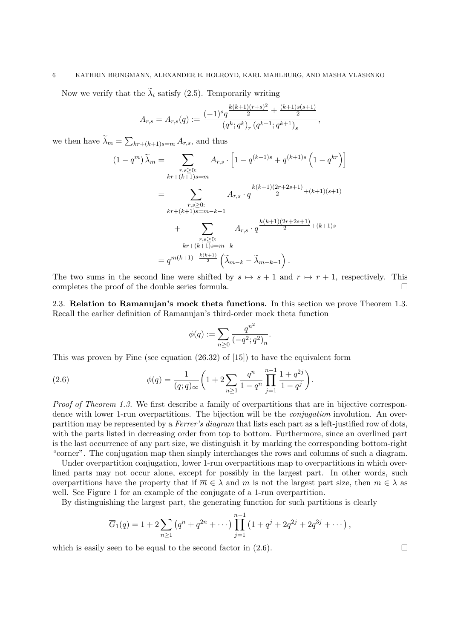# 6 KATHRIN BRINGMANN, ALEXANDER E. HOLROYD, KARL MAHLBURG, AND MASHA VLASENKO

Now we verify that the  $\tilde{\lambda}_i$  satisfy (2.5). Temporarily writing

$$
A_{r,s} = A_{r,s}(q) := \frac{(-1)^s q^{\frac{k(k+1)(r+s)^2}{2} + \frac{(k+1)s(s+1)}{2}}}{(q^k;q^k)_r (q^{k+1};q^{k+1})_s},
$$

we then have  $\lambda_m = \sum_{kr + (k+1)s = m} A_{r,s}$ , and thus

$$
(1 - q^m) \widetilde{\lambda}_m = \sum_{\substack{r,s \geq 0:\\kr + (k+1)s = m}} A_{r,s} \cdot \left[ 1 - q^{(k+1)s} + q^{(k+1)s} \left( 1 - q^{kr} \right) \right]
$$

$$
= \sum_{\substack{r,s \geq 0:\\kr + (k+1)s = m-k-1}} A_{r,s} \cdot q^{\frac{k(k+1)(2r+2s+1)}{2} + (k+1)(s+1)}
$$

$$
+ \sum_{\substack{r,s \geq 0:\\kr + (k+1)s = m-k}} A_{r,s} \cdot q^{\frac{k(k+1)(2r+2s+1)}{2} + (k+1)s}
$$

$$
= q^{m(k+1) - \frac{k(k+1)}{2}} \left( \widetilde{\lambda}_{m-k} - \widetilde{\lambda}_{m-k-1} \right).
$$

The two sums in the second line were shifted by  $s \mapsto s+1$  and  $r \mapsto r+1$ , respectively. This completes the proof of the double series formula. completes the proof of the double series formula.

2.3. **Relation to Ramanujan's mock theta functions.** In this section we prove Theorem 1.3. Recall the earlier definition of Ramanujan's third-order mock theta function

$$
\phi(q) := \sum_{n \ge 0} \frac{q^{n^2}}{(-q^2; q^2)_n}.
$$

This was proven by Fine (see equation (26.32) of [15]) to have the equivalent form

(2.6) 
$$
\phi(q) = \frac{1}{(q;q)_{\infty}} \left(1 + 2 \sum_{n \geq 1} \frac{q^n}{1 - q^n} \prod_{j=1}^{n-1} \frac{1 + q^{2j}}{1 - q^j}\right).
$$

*Proof of Theorem 1.3.* We first describe a family of overpartitions that are in bijective correspondence with lower 1-run overpartitions. The bijection will be the *conjugation* involution. An overpartition may be represented by a *Ferrer's diagram* that lists each part as a left-justified row of dots, with the parts listed in decreasing order from top to bottom. Furthermore, since an overlined part is the last occurrence of any part size, we distinguish it by marking the corresponding bottom-right "corner". The conjugation map then simply interchanges the rows and columns of such a diagram.

Under overpartition conjugation, lower 1-run overpartitions map to overpartitions in which overlined parts may not occur alone, except for possibly in the largest part. In other words, such overpartitions have the property that if  $\overline{m} \in \lambda$  and  $m$  is not the largest part size, then  $m \in \lambda$  as well. See Figure 1 for an example of the conjugate of a 1-run overpartition.

By distinguishing the largest part, the generating function for such partitions is clearly

$$
\overline{G}_1(q) = 1 + 2 \sum_{n \ge 1} (q^n + q^{2n} + \cdots) \prod_{j=1}^{n-1} (1 + q^j + 2q^{2j} + 2q^{3j} + \cdots),
$$

which is easily seen to be equal to the second factor in  $(2.6)$ .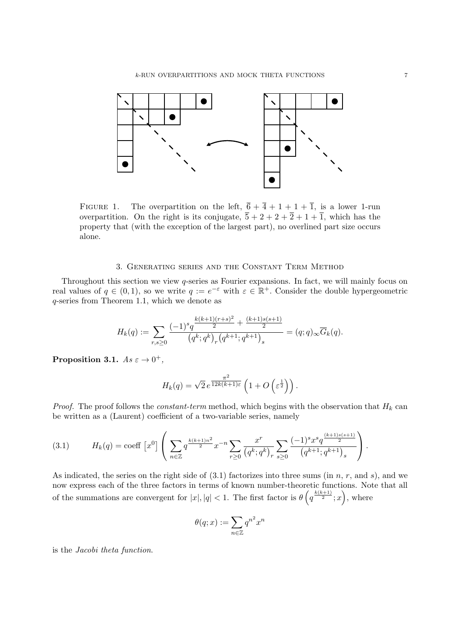

FIGURE 1. The overpartition on the left,  $\overline{6} + \overline{4} + 1 + 1 + \overline{1}$ , is a lower 1-run overpartition. On the right is its conjugate,  $\overline{5} + 2 + 2 + \overline{2} + 1 + \overline{1}$ , which has the property that (with the exception of the largest part), no overlined part size occurs alone.

## 3. Generating series and the Constant Term Method

Throughout this section we view *q*-series as Fourier expansions. In fact, we will mainly focus on real values of  $q \in (0,1)$ , so we write  $q := e^{-\varepsilon}$  with  $\varepsilon \in \mathbb{R}^+$ . Consider the double hypergeometric *q*-series from Theorem 1.1, which we denote as

$$
H_k(q) := \sum_{r,s\geq 0} \frac{(-1)^s q^{\frac{k(k+1)(r+s)^2}{2} + \frac{(k+1)s(s+1)}{2}}}{(q^k;q^k)_r (q^{k+1};q^{k+1})_s} = (q;q)_{\infty} \overline{G}_k(q).
$$

**Proposition 3.1.**  $As \varepsilon \to 0^+,$ 

$$
H_k(q) = \sqrt{2} e^{\frac{\pi^2}{12k(k+1)\varepsilon}} \left( 1 + O\left(\varepsilon^{\frac{1}{2}}\right) \right).
$$

*Proof.* The proof follows the *constant-term* method, which begins with the observation that *H<sup>k</sup>* can be written as a (Laurent) coefficient of a two-variable series, namely

$$
(3.1) \tH_k(q) = \text{coeff} \left[ x^0 \right] \left( \sum_{n \in \mathbb{Z}} q^{\frac{k(k+1)n^2}{2}} x^{-n} \sum_{r \ge 0} \frac{x^r}{\left( q^k; q^k \right)_r} \sum_{s \ge 0} \frac{(-1)^s x^s q^{\frac{(k+1)s(s+1)}{2}}}{\left( q^{k+1}; q^{k+1} \right)_s} \right).
$$

As indicated, the series on the right side of (3.1) factorizes into three sums (in *n*, *r*, and *s*), and we now express each of the three factors in terms of known number-theoretic functions. Note that all of the summations are convergent for  $|x|, |q| < 1$ . The first factor is  $\theta\left(q^{\frac{k(k+1)}{2}}; x\right)$ , where

$$
\theta(q; x) := \sum_{n \in \mathbb{Z}} q^{n^2} x^n
$$

is the *Jacobi theta function*.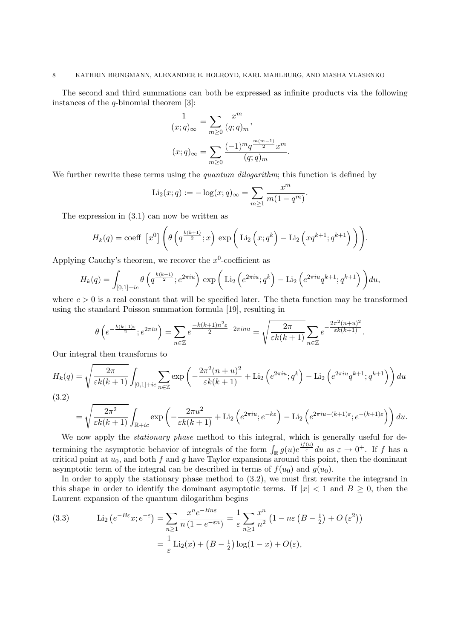The second and third summations can both be expressed as infinite products via the following instances of the *q*-binomial theorem [3]:

$$
\frac{1}{(x;q)_{\infty}} = \sum_{m\geq 0} \frac{x^m}{(q;q)_m},
$$

$$
(x;q)_{\infty} = \sum_{m\geq 0} \frac{(-1)^m q^{\frac{m(m-1)}{2}} x^m}{(q;q)_m}.
$$

We further rewrite these terms using the *quantum dilogarithm*; this function is defined by

$$
Li_2(x; q) := -\log(x; q)_{\infty} = \sum_{m \ge 1} \frac{x^m}{m(1 - q^m)}.
$$

The expression in (3.1) can now be written as

$$
H_k(q) = \text{coeff} \left[ x^0 \right] \left( \theta \left( q^{\frac{k(k+1)}{2}}; x \right) \exp \left( \text{Li}_2 \left( x; q^k \right) - \text{Li}_2 \left( xq^{k+1}; q^{k+1} \right) \right) \right).
$$

Applying Cauchy's theorem, we recover the  $x^0$ -coefficient as

$$
H_k(q) = \int_{[0,1]+ic} \theta\left(q^{\frac{k(k+1)}{2}}; e^{2\pi i u}\right) \exp\left(\text{Li}_2\left(e^{2\pi i u}; q^k\right) - \text{Li}_2\left(e^{2\pi i u}q^{k+1}; q^{k+1}\right)\right) du,
$$

where  $c > 0$  is a real constant that will be specified later. The theta function may be transformed using the standard Poisson summation formula [19], resulting in

$$
\theta\left(e^{-\frac{k(k+1)\varepsilon}{2}};e^{2\pi i u}\right) = \sum_{n\in\mathbb{Z}} e^{-\frac{k(k+1)n^2\varepsilon}{2} - 2\pi i n u} = \sqrt{\frac{2\pi}{\varepsilon k(k+1)}} \sum_{n\in\mathbb{Z}} e^{-\frac{2\pi^2(n+u)^2}{\varepsilon k(k+1)}}.
$$

Our integral then transforms to

$$
H_k(q) = \sqrt{\frac{2\pi}{\varepsilon k(k+1)}} \int_{[0,1]+ic} \sum_{n\in\mathbb{Z}} \exp\left(-\frac{2\pi^2(n+u)^2}{\varepsilon k(k+1)} + \text{Li}_2\left(e^{2\pi i u};q^k\right) - \text{Li}_2\left(e^{2\pi i u}q^{k+1};q^{k+1}\right)\right) du
$$

(3.2)

$$
= \sqrt{\frac{2\pi^2}{\varepsilon k(k+1)}} \int_{\mathbb{R}+ic} \exp\left(-\frac{2\pi u^2}{\varepsilon k(k+1)} + \text{Li}_2\left(e^{2\pi i u}; e^{-k\varepsilon}\right) - \text{Li}_2\left(e^{2\pi i u - (k+1)\varepsilon}; e^{-(k+1)\varepsilon}\right)\right) du.
$$

We now apply the *stationary phase* method to this integral, which is generally useful for determining the asymptotic behavior of integrals of the form  $\int_{\mathbb{R}} g(u)e^{i f(u)} du$  as  $\varepsilon \to 0^+$ . If *f* has a critical point at  $u_0$ , and both  $f$  and  $g$  have Taylor expansions around this point, then the dominant asymptotic term of the integral can be described in terms of  $f(u_0)$  and  $g(u_0)$ .

In order to apply the stationary phase method to (3.2), we must first rewrite the integrand in this shape in order to identify the dominant asymptotic terms. If  $|x| < 1$  and  $B \ge 0$ , then the Laurent expansion of the quantum dilogarithm begins

(3.3) 
$$
\operatorname{Li}_2\left(e^{-B\varepsilon}x; e^{-\varepsilon}\right) = \sum_{n\geq 1} \frac{x^n e^{-Bn\varepsilon}}{n(1 - e^{-\varepsilon n})} = \frac{1}{\varepsilon} \sum_{n\geq 1} \frac{x^n}{n^2} \left(1 - n\varepsilon \left(B - \frac{1}{2}\right) + O\left(\varepsilon^2\right)\right)
$$

$$
= \frac{1}{\varepsilon} \operatorname{Li}_2(x) + \left(B - \frac{1}{2}\right) \log(1 - x) + O(\varepsilon),
$$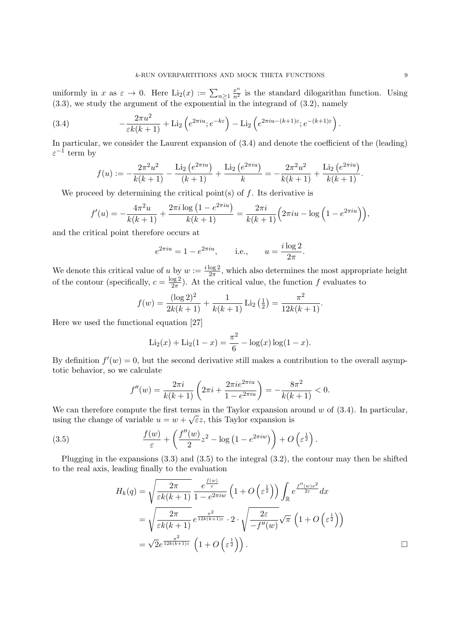uniformly in *x* as  $\varepsilon \to 0$ . Here  $\text{Li}_2(x) := \sum_{n \geq 1} \frac{x^n}{n^2}$  is the standard dilogarithm function. Using (3.3), we study the argument of the exponential in the integrand of (3.2), namely

(3.4) 
$$
-\frac{2\pi u^2}{\varepsilon k(k+1)} + \mathrm{Li}_2\left(e^{2\pi i u}; e^{-k\varepsilon}\right) - \mathrm{Li}_2\left(e^{2\pi i u - (k+1)\varepsilon}; e^{-(k+1)\varepsilon}\right).
$$

In particular, we consider the Laurent expansion of (3.4) and denote the coefficient of the (leading) *ε −*1 term by

$$
f(u) := -\frac{2\pi^2 u^2}{k(k+1)} - \frac{\text{Li}_2\left(e^{2\pi i u}\right)}{(k+1)} + \frac{\text{Li}_2\left(e^{2\pi i u}\right)}{k} = -\frac{2\pi^2 u^2}{k(k+1)} + \frac{\text{Li}_2\left(e^{2\pi i u}\right)}{k(k+1)}.
$$

We proceed by determining the critical point(s) of *f*. Its derivative is

$$
f'(u) = -\frac{4\pi^2 u}{k(k+1)} + \frac{2\pi i \log(1 - e^{2\pi i u})}{k(k+1)} = \frac{2\pi i}{k(k+1)} \left(2\pi i u - \log(1 - e^{2\pi i u})\right),
$$

and the critical point therefore occurs at

$$
e^{2\pi i u} = 1 - e^{2\pi i u}
$$
, i.e.,  $u = \frac{i \log 2}{2\pi}$ .

We denote this critical value of *u* by  $w := \frac{i \log 2}{2\pi}$  $\frac{\log 2}{2\pi}$ , which also determines the most appropriate height of the contour (specifically,  $c = \frac{\log 2}{2\pi}$  $\frac{\log 2}{2\pi}$ ). At the critical value, the function *f* evaluates to

$$
f(w) = \frac{(\log 2)^2}{2k(k+1)} + \frac{1}{k(k+1)} \operatorname{Li}_2\left(\frac{1}{2}\right) = \frac{\pi^2}{12k(k+1)}.
$$

Here we used the functional equation [27]

$$
\text{Li}_2(x) + \text{Li}_2(1-x) = \frac{\pi^2}{6} - \log(x) \log(1-x).
$$

By definition  $f'(w) = 0$ , but the second derivative still makes a contribution to the overall asymptotic behavior, so we calculate

$$
f''(w) = \frac{2\pi i}{k(k+1)} \left( 2\pi i + \frac{2\pi i e^{2\pi i u}}{1 - e^{2\pi i u}} \right) = -\frac{8\pi^2}{k(k+1)} < 0.
$$

We can therefore compute the first terms in the Taylor expansion around *w* of  $(3.4)$ . In particular, using the change of variable  $u = w + \sqrt{\varepsilon}z$ , this Taylor expansion is

(3.5) 
$$
\frac{f(w)}{\varepsilon} + \left(\frac{f''(w)}{2}z^2 - \log(1 - e^{2\pi i w})\right) + O\left(\varepsilon^{\frac{1}{2}}\right).
$$

Plugging in the expansions (3.3) and (3.5) to the integral (3.2), the contour may then be shifted to the real axis, leading finally to the evaluation

$$
H_k(q) = \sqrt{\frac{2\pi}{\varepsilon k(k+1)}} \frac{e^{\frac{f(w)}{\varepsilon}}}{1 - e^{2\pi i w}} \left(1 + O\left(\varepsilon^{\frac{1}{2}}\right)\right) \int_{\mathbb{R}} e^{\frac{f''(w)x^2}{2\varepsilon}} dx
$$
  

$$
= \sqrt{\frac{2\pi}{\varepsilon k(k+1)}} e^{\frac{\pi^2}{12k(k+1)\varepsilon}} \cdot 2 \cdot \sqrt{\frac{2\varepsilon}{-f''(w)}} \sqrt{\pi} \left(1 + O\left(\varepsilon^{\frac{1}{2}}\right)\right)
$$
  

$$
= \sqrt{2}e^{\frac{\pi^2}{12k(k+1)\varepsilon}} \left(1 + O\left(\varepsilon^{\frac{1}{2}}\right)\right).
$$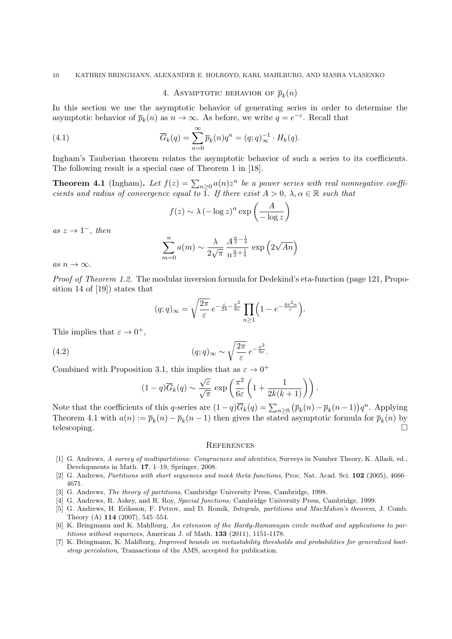# 4. ASYMPTOTIC BEHAVIOR OF  $\bar{p}_k(n)$

In this section we use the asymptotic behavior of generating series in order to determine the asymptotic behavior of  $\bar{p}_k(n)$  as  $n \to \infty$ . As before, we write  $q = e^{-\varepsilon}$ . Recall that

(4.1) 
$$
\overline{G}_k(q) = \sum_{n=0}^{\infty} \overline{p}_k(n) q^n = (q;q)_{\infty}^{-1} \cdot H_k(q).
$$

Ingham's Tauberian theorem relates the asymptotic behavior of such a series to its coefficients. The following result is a special case of Theorem 1 in [18].

**Theorem 4.1** (Ingham). Let  $f(z) = \sum_{n \geq 0} a(n) z^n$  be a power series with real nonnegative coeffi*cients and radius of convergence equal to*  $\overline{1}$ *. If there exist*  $A > 0$ *,*  $\lambda, \alpha \in \mathbb{R}$  *such that* 

$$
f(z) \sim \lambda \left(-\log z\right)^{\alpha} \exp\left(\frac{A}{-\log z}\right)
$$

 $as z \rightarrow 1^-$ *, then* 

$$
\sum_{m=0}^{n} a(m) \sim \frac{\lambda}{2\sqrt{\pi}} \frac{A^{\frac{\alpha}{2} - \frac{1}{4}}}{n^{\frac{\alpha}{2} + \frac{1}{4}}} \exp\left(2\sqrt{An}\right)
$$

 $as n \rightarrow \infty$ .

*Proof of Theorem 1.2.* The modular inversion formula for Dedekind's eta-function (page 121, Proposition 14 of [19]) states that

$$
(q;q)_{\infty} = \sqrt{\frac{2\pi}{\varepsilon}} e^{-\frac{\varepsilon}{24} - \frac{\pi^2}{6\varepsilon}} \prod_{n \ge 1} \left( 1 - e^{-\frac{4\pi^2 n}{\varepsilon}} \right).
$$

This implies that  $\varepsilon \to 0^+,$ 

(4.2) 
$$
(q;q)_{\infty} \sim \sqrt{\frac{2\pi}{\varepsilon}} e^{-\frac{\pi^2}{6\varepsilon}}.
$$

Combined with Proposition 3.1, this implies that as  $\varepsilon \to 0^+$ 

$$
(1-q)\overline{G}_k(q) \sim \frac{\sqrt{\varepsilon}}{\sqrt{\pi}} \exp\left(\frac{\pi^2}{6\varepsilon}\left(1+\frac{1}{2k(k+1)}\right)\right).
$$

Note that the coefficients of this q-series are  $(1-q)\overline{G}_k(q) = \sum_{n\geq 0} (\overline{p}_k(n) - \overline{p}_k(n-1))q^n$ . Applying Theorem 4.1 with  $a(n) := \overline{p}_k(n) - \overline{p}_k(n-1)$  then gives the stated asymptotic formula for  $\overline{p}_k(n)$  by telescoping.  $\Box$ 

#### **REFERENCES**

- [1] G. Andrews, *A survey of multipartitions: Congruences and identities*, Surveys in Number Theory, K. Alladi, ed., Developments in Math. **17**, 1–19, Springer, 2008.
- [2] G. Andrews, *Partitions with short sequences and mock theta functions*, Proc. Nat. Acad. Sci. **102** (2005), 4666– 4671.
- [3] G. Andrews, *The theory of partitions*, Cambridge University Press, Cambridge, 1998.
- [4] G. Andrews, R. Askey, and R. Roy, *Special functions,* Cambridge University Press, Cambridge, 1999.
- [5] G. Andrews, H. Eriksson, F. Petrov, and D. Romik, *Integrals, partitions and MacMahon's theorem*, J. Comb. Theory (A) **114** (2007), 545–554.
- [6] K. Bringmann and K. Mahlburg, *An extension of the Hardy-Ramanujan circle method and applications to partitions without sequences*, American J. of Math. **133** (2011), 1151-1178.
- [7] K. Bringmann, K. Mahlburg, *Improved bounds on metastability thresholds and probabilities for generalized bootstrap percolation*, Transactions of the AMS, accepted for publication.